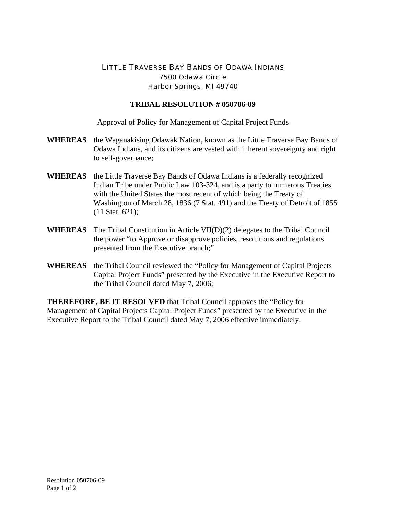## LITTLE TRAVERSE BAY BANDS OF ODAWA INDIANS 7500 Odawa Circle Harbor Springs, MI 49740

## **TRIBAL RESOLUTION # 050706-09**

Approval of Policy for Management of Capital Project Funds

- **WHEREAS** the Waganakising Odawak Nation, known as the Little Traverse Bay Bands of Odawa Indians, and its citizens are vested with inherent sovereignty and right to self-governance;
- **WHEREAS** the Little Traverse Bay Bands of Odawa Indians is a federally recognized Indian Tribe under Public Law 103-324, and is a party to numerous Treaties with the United States the most recent of which being the Treaty of Washington of March 28, 1836 (7 Stat. 491) and the Treaty of Detroit of 1855 (11 Stat. 621);
- **WHEREAS** The Tribal Constitution in Article VII(D)(2) delegates to the Tribal Council the power "to Approve or disapprove policies, resolutions and regulations presented from the Executive branch;"
- **WHEREAS** the Tribal Council reviewed the "Policy for Management of Capital Projects Capital Project Funds" presented by the Executive in the Executive Report to the Tribal Council dated May 7, 2006;

**THEREFORE, BE IT RESOLVED** that Tribal Council approves the "Policy for Management of Capital Projects Capital Project Funds" presented by the Executive in the Executive Report to the Tribal Council dated May 7, 2006 effective immediately.